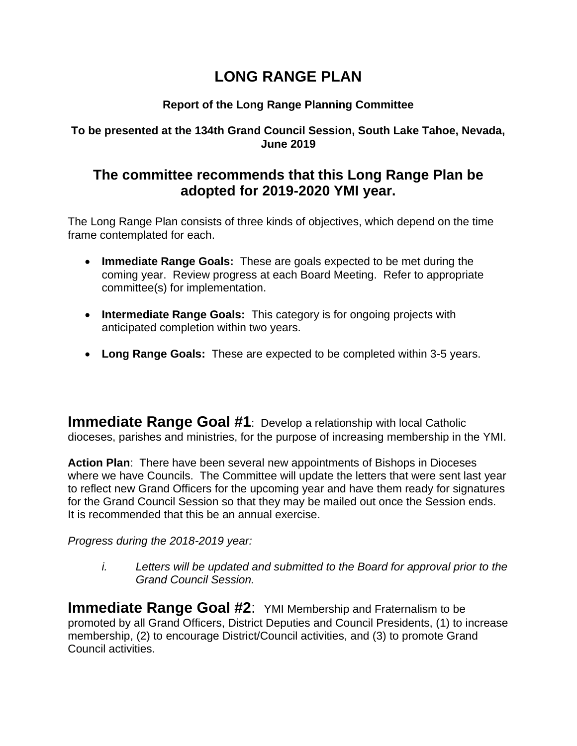## **LONG RANGE PLAN**

## **Report of the Long Range Planning Committee**

**To be presented at the 134th Grand Council Session, South Lake Tahoe, Nevada, June 2019**

## **The committee recommends that this Long Range Plan be adopted for 2019-2020 YMI year.**

The Long Range Plan consists of three kinds of objectives, which depend on the time frame contemplated for each.

- **Immediate Range Goals:** These are goals expected to be met during the coming year. Review progress at each Board Meeting. Refer to appropriate committee(s) for implementation.
- **Intermediate Range Goals:** This category is for ongoing projects with anticipated completion within two years.
- **Long Range Goals:** These are expected to be completed within 3-5 years.

**Immediate Range Goal #1**: Develop a relationship with local Catholic dioceses, parishes and ministries, for the purpose of increasing membership in the YMI.

**Action Plan**: There have been several new appointments of Bishops in Dioceses where we have Councils. The Committee will update the letters that were sent last year to reflect new Grand Officers for the upcoming year and have them ready for signatures for the Grand Council Session so that they may be mailed out once the Session ends. It is recommended that this be an annual exercise.

## *Progress during the 2018-2019 year:*

*i. Letters will be updated and submitted to the Board for approval prior to the Grand Council Session.*

**Immediate Range Goal #2: YMI Membership and Fraternalism to be** promoted by all Grand Officers, District Deputies and Council Presidents, (1) to increase membership, (2) to encourage District/Council activities, and (3) to promote Grand Council activities.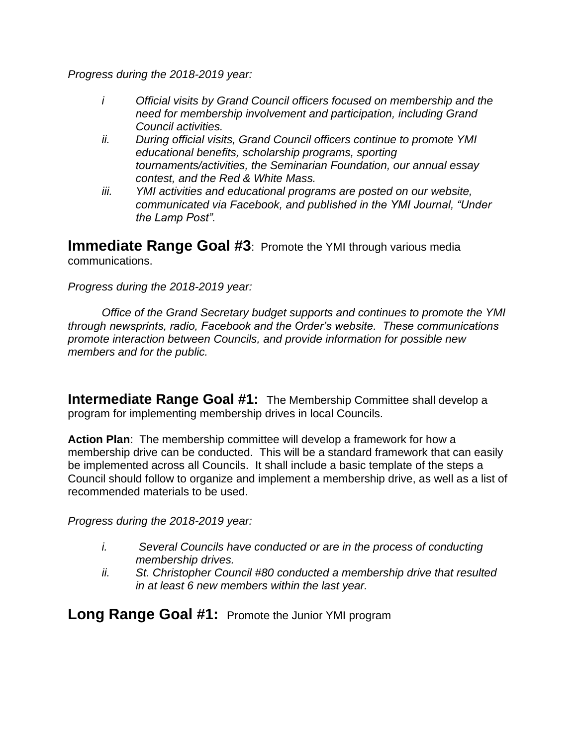*Progress during the 2018-2019 year:*

- *i Official visits by Grand Council officers focused on membership and the need for membership involvement and participation, including Grand Council activities.*
- *ii. During official visits, Grand Council officers continue to promote YMI educational benefits, scholarship programs, sporting tournaments/activities, the Seminarian Foundation, our annual essay contest, and the Red & White Mass.*
- *iii. YMI activities and educational programs are posted on our website, communicated via Facebook, and published in the YMI Journal, "Under the Lamp Post".*

**Immediate Range Goal #3: Promote the YMI through various media** communications.

*Progress during the 2018-2019 year:*

*Office of the Grand Secretary budget supports and continues to promote the YMI through newsprints, radio, Facebook and the Order's website. These communications promote interaction between Councils, and provide information for possible new members and for the public.*

**Intermediate Range Goal #1:** The Membership Committee shall develop a program for implementing membership drives in local Councils.

**Action Plan**: The membership committee will develop a framework for how a membership drive can be conducted. This will be a standard framework that can easily be implemented across all Councils. It shall include a basic template of the steps a Council should follow to organize and implement a membership drive, as well as a list of recommended materials to be used.

*Progress during the 2018-2019 year:* 

- *i. Several Councils have conducted or are in the process of conducting membership drives.*
- *ii. St. Christopher Council #80 conducted a membership drive that resulted in at least 6 new members within the last year.*

**Long Range Goal #1:** Promote the Junior YMI program